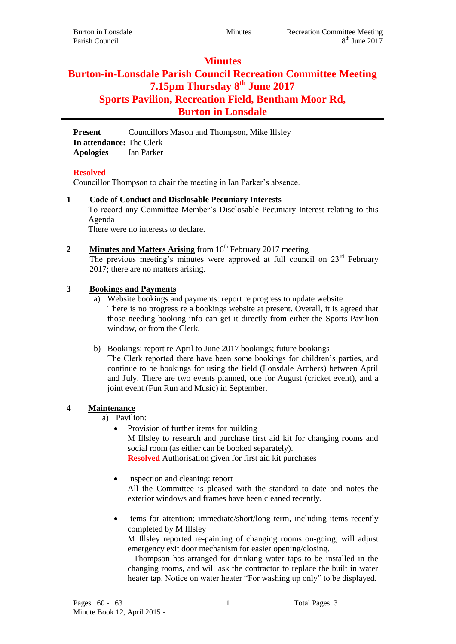# **Minutes**

# **Burton-in-Lonsdale Parish Council Recreation Committee Meeting 7.15pm Thursday 8 th June 2017 Sports Pavilion, Recreation Field, Bentham Moor Rd, Burton in Lonsdale**

**Present** Councillors Mason and Thompson, Mike Illsley **In attendance:** The Clerk **Apologies** Ian Parker

# **Resolved**

Councillor Thompson to chair the meeting in Ian Parker's absence.

#### **1 Code of Conduct and Disclosable Pecuniary Interests**

To record any Committee Member's Disclosable Pecuniary Interest relating to this Agenda

There were no interests to declare.

# **2 Minutes and Matters Arising** from 16<sup>th</sup> February 2017 meeting

The previous meeting's minutes were approved at full council on  $23<sup>rd</sup>$  February 2017; there are no matters arising.

# **3 Bookings and Payments**

- a) Website bookings and payments: report re progress to update website There is no progress re a bookings website at present. Overall, it is agreed that those needing booking info can get it directly from either the Sports Pavilion window, or from the Clerk.
- b) Bookings: report re April to June 2017 bookings; future bookings The Clerk reported there have been some bookings for children's parties, and continue to be bookings for using the field (Lonsdale Archers) between April and July. There are two events planned, one for August (cricket event), and a joint event (Fun Run and Music) in September.

# **4 Maintenance**

- a) Pavilion:
	- Provision of further items for building M Illsley to research and purchase first aid kit for changing rooms and social room (as either can be booked separately). **Resolved** Authorisation given for first aid kit purchases
	- Inspection and cleaning: report All the Committee is pleased with the standard to date and notes the exterior windows and frames have been cleaned recently.
	- Items for attention: immediate/short/long term, including items recently completed by M Illsley M Illsley reported re-painting of changing rooms on-going; will adjust emergency exit door mechanism for easier opening/closing. I Thompson has arranged for drinking water taps to be installed in the

changing rooms, and will ask the contractor to replace the built in water heater tap. Notice on water heater "For washing up only" to be displayed.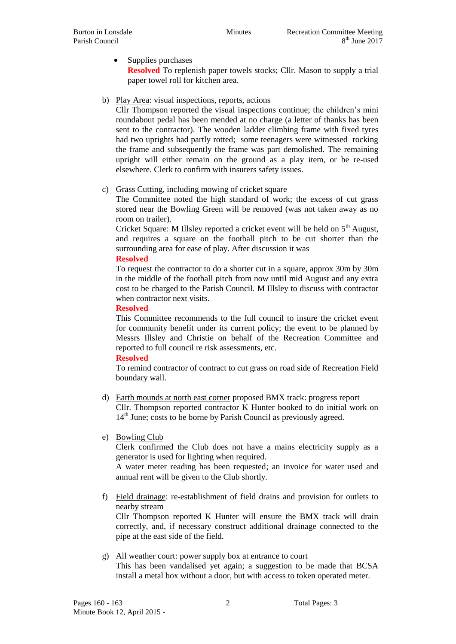#### • Supplies purchases

**Resolved** To replenish paper towels stocks; Cllr. Mason to supply a trial paper towel roll for kitchen area.

# b) Play Area: visual inspections, reports, actions

Cllr Thompson reported the visual inspections continue; the children's mini roundabout pedal has been mended at no charge (a letter of thanks has been sent to the contractor). The wooden ladder climbing frame with fixed tyres had two uprights had partly rotted; some teenagers were witnessed rocking the frame and subsequently the frame was part demolished. The remaining upright will either remain on the ground as a play item, or be re-used elsewhere. Clerk to confirm with insurers safety issues.

# c) Grass Cutting, including mowing of cricket square

The Committee noted the high standard of work; the excess of cut grass stored near the Bowling Green will be removed (was not taken away as no room on trailer).

Cricket Square: M Illsley reported a cricket event will be held on  $5<sup>th</sup>$  August, and requires a square on the football pitch to be cut shorter than the surrounding area for ease of play. After discussion it was

#### **Resolved**

To request the contractor to do a shorter cut in a square, approx 30m by 30m in the middle of the football pitch from now until mid August and any extra cost to be charged to the Parish Council. M Illsley to discuss with contractor when contractor next visits.

#### **Resolved**

This Committee recommends to the full council to insure the cricket event for community benefit under its current policy; the event to be planned by Messrs Illsley and Christie on behalf of the Recreation Committee and reported to full council re risk assessments, etc.

#### **Resolved**

To remind contractor of contract to cut grass on road side of Recreation Field boundary wall.

- d) Earth mounds at north east corner proposed BMX track: progress report Cllr. Thompson reported contractor K Hunter booked to do initial work on  $14<sup>th</sup>$  June; costs to be borne by Parish Council as previously agreed.
- e) Bowling Club

Clerk confirmed the Club does not have a mains electricity supply as a generator is used for lighting when required.

A water meter reading has been requested; an invoice for water used and annual rent will be given to the Club shortly.

f) Field drainage: re-establishment of field drains and provision for outlets to nearby stream

Cllr Thompson reported K Hunter will ensure the BMX track will drain correctly, and, if necessary construct additional drainage connected to the pipe at the east side of the field.

g) All weather court: power supply box at entrance to court This has been vandalised yet again; a suggestion to be made that BCSA install a metal box without a door, but with access to token operated meter.